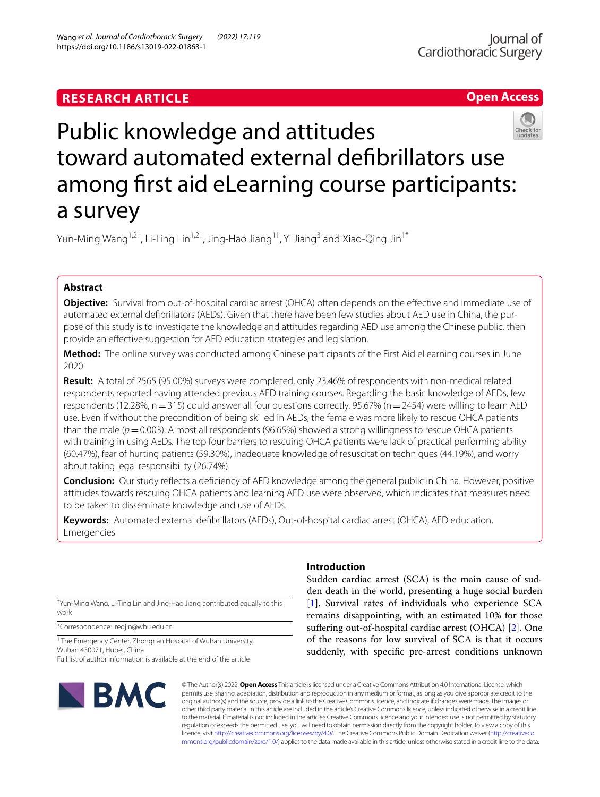# **RESEARCH ARTICLE**





# Public knowledge and attitudes toward automated external defbrillators use among frst aid eLearning course participants: a survey

Yun-Ming Wang<sup>1,2†</sup>, Li-Ting Lin<sup>1,2†</sup>, Jing-Hao Jiang<sup>1†</sup>, Yi Jiang<sup>3</sup> and Xiao-Qing Jin<sup>1\*</sup>

## **Abstract**

**Objective:** Survival from out-of-hospital cardiac arrest (OHCA) often depends on the efective and immediate use of automated external defibrillators (AEDs). Given that there have been few studies about AED use in China, the purpose of this study is to investigate the knowledge and attitudes regarding AED use among the Chinese public, then provide an efective suggestion for AED education strategies and legislation.

**Method:** The online survey was conducted among Chinese participants of the First Aid eLearning courses in June 2020.

**Result:** A total of 2565 (95.00%) surveys were completed, only 23.46% of respondents with non-medical related respondents reported having attended previous AED training courses. Regarding the basic knowledge of AEDs, few respondents (12.28%, n = 315) could answer all four questions correctly. 95.67% (n = 2454) were willing to learn AED use. Even if without the precondition of being skilled in AEDs, the female was more likely to rescue OHCA patients than the male  $(p=0.003)$ . Almost all respondents (96.65%) showed a strong willingness to rescue OHCA patients with training in using AEDs. The top four barriers to rescuing OHCA patients were lack of practical performing ability (60.47%), fear of hurting patients (59.30%), inadequate knowledge of resuscitation techniques (44.19%), and worry about taking legal responsibility (26.74%).

**Conclusion:** Our study refects a defciency of AED knowledge among the general public in China. However, positive attitudes towards rescuing OHCA patients and learning AED use were observed, which indicates that measures need to be taken to disseminate knowledge and use of AEDs.

**Keywords:** Automated external defbrillators (AEDs), Out-of-hospital cardiac arrest (OHCA), AED education, Emergencies

† Yun-Ming Wang, Li-Ting Lin and Jing-Hao Jiang contributed equally to this work

\*Correspondence: redjin@whu.edu.cn

<sup>1</sup> The Emergency Center, Zhongnan Hospital of Wuhan University, Wuhan 430071, Hubei, China Full list of author information is available at the end of the article

# **BMC**

# **Introduction**

Sudden cardiac arrest (SCA) is the main cause of sudden death in the world, presenting a huge social burden [[1\]](#page-6-0). Survival rates of individuals who experience SCA remains disappointing, with an estimated 10% for those sufering out-of-hospital cardiac arrest (OHCA) [[2\]](#page-6-1). One of the reasons for low survival of SCA is that it occurs suddenly, with specifc pre-arrest conditions unknown

© The Author(s) 2022. **Open Access** This article is licensed under a Creative Commons Attribution 4.0 International License, which permits use, sharing, adaptation, distribution and reproduction in any medium or format, as long as you give appropriate credit to the original author(s) and the source, provide a link to the Creative Commons licence, and indicate if changes were made. The images or other third party material in this article are included in the article's Creative Commons licence, unless indicated otherwise in a credit line to the material. If material is not included in the article's Creative Commons licence and your intended use is not permitted by statutory regulation or exceeds the permitted use, you will need to obtain permission directly from the copyright holder. To view a copy of this licence, visit [http://creativecommons.org/licenses/by/4.0/.](http://creativecommons.org/licenses/by/4.0/) The Creative Commons Public Domain Dedication waiver ([http://creativeco](http://creativecommons.org/publicdomain/zero/1.0/) [mmons.org/publicdomain/zero/1.0/](http://creativecommons.org/publicdomain/zero/1.0/)) applies to the data made available in this article, unless otherwise stated in a credit line to the data.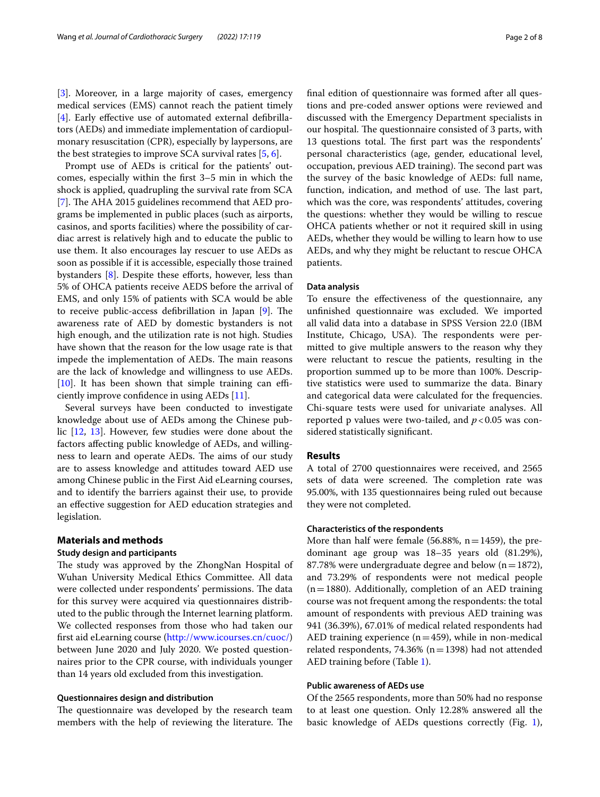[[3\]](#page-7-0). Moreover, in a large majority of cases, emergency medical services (EMS) cannot reach the patient timely [[4\]](#page-7-1). Early effective use of automated external defibrillators (AEDs) and immediate implementation of cardiopulmonary resuscitation (CPR), especially by laypersons, are the best strategies to improve SCA survival rates [[5,](#page-7-2) [6](#page-7-3)].

Prompt use of AEDs is critical for the patients' outcomes, especially within the frst 3–5 min in which the shock is applied, quadrupling the survival rate from SCA [[7\]](#page-7-4). The AHA 2015 guidelines recommend that AED programs be implemented in public places (such as airports, casinos, and sports facilities) where the possibility of cardiac arrest is relatively high and to educate the public to use them. It also encourages lay rescuer to use AEDs as soon as possible if it is accessible, especially those trained bystanders [[8](#page-7-5)]. Despite these efforts, however, less than 5% of OHCA patients receive AEDS before the arrival of EMS, and only 15% of patients with SCA would be able to receive public-access defibrillation in Japan  $[9]$  $[9]$ . The awareness rate of AED by domestic bystanders is not high enough, and the utilization rate is not high. Studies have shown that the reason for the low usage rate is that impede the implementation of AEDs. The main reasons are the lack of knowledge and willingness to use AEDs.  $[10]$  $[10]$ . It has been shown that simple training can efficiently improve confdence in using AEDs [[11\]](#page-7-8).

Several surveys have been conducted to investigate knowledge about use of AEDs among the Chinese public [[12](#page-7-9), [13](#page-7-10)]. However, few studies were done about the factors afecting public knowledge of AEDs, and willingness to learn and operate AEDs. The aims of our study are to assess knowledge and attitudes toward AED use among Chinese public in the First Aid eLearning courses, and to identify the barriers against their use, to provide an efective suggestion for AED education strategies and legislation.

#### **Materials and methods**

#### **Study design and participants**

The study was approved by the ZhongNan Hospital of Wuhan University Medical Ethics Committee. All data were collected under respondents' permissions. The data for this survey were acquired via questionnaires distributed to the public through the Internet learning platform. We collected responses from those who had taken our frst aid eLearning course (<http://www.icourses.cn/cuoc/>) between June 2020 and July 2020. We posted questionnaires prior to the CPR course, with individuals younger than 14 years old excluded from this investigation.

#### **Questionnaires design and distribution**

The questionnaire was developed by the research team members with the help of reviewing the literature. The fnal edition of questionnaire was formed after all questions and pre-coded answer options were reviewed and discussed with the Emergency Department specialists in our hospital. The questionnaire consisted of 3 parts, with 13 questions total. The first part was the respondents' personal characteristics (age, gender, educational level, occupation, previous AED training). The second part was the survey of the basic knowledge of AEDs: full name, function, indication, and method of use. The last part, which was the core, was respondents' attitudes, covering the questions: whether they would be willing to rescue OHCA patients whether or not it required skill in using AEDs, whether they would be willing to learn how to use AEDs, and why they might be reluctant to rescue OHCA patients.

#### **Data analysis**

To ensure the efectiveness of the questionnaire, any unfnished questionnaire was excluded. We imported all valid data into a database in SPSS Version 22.0 (IBM Institute, Chicago, USA). The respondents were permitted to give multiple answers to the reason why they were reluctant to rescue the patients, resulting in the proportion summed up to be more than 100%. Descriptive statistics were used to summarize the data. Binary and categorical data were calculated for the frequencies. Chi-square tests were used for univariate analyses. All reported p values were two-tailed, and *p*<0.05 was considered statistically signifcant.

#### **Results**

A total of 2700 questionnaires were received, and 2565 sets of data were screened. The completion rate was 95.00%, with 135 questionnaires being ruled out because they were not completed.

#### **Characteristics of the respondents**

More than half were female (56.88%,  $n=1459$ ), the predominant age group was 18–35 years old (81.29%), 87.78% were undergraduate degree and below  $(n=1872)$ , and 73.29% of respondents were not medical people  $(n=1880)$ . Additionally, completion of an AED training course was not frequent among the respondents: the total amount of respondents with previous AED training was 941 (36.39%), 67.01% of medical related respondents had AED training experience  $(n=459)$ , while in non-medical related respondents, 74.36% ( $n=1398$ ) had not attended AED training before (Table [1](#page-2-0)).

#### **Public awareness of AEDs use**

Of the 2565 respondents, more than 50% had no response to at least one question. Only 12.28% answered all the basic knowledge of AEDs questions correctly (Fig. [1](#page-2-1)),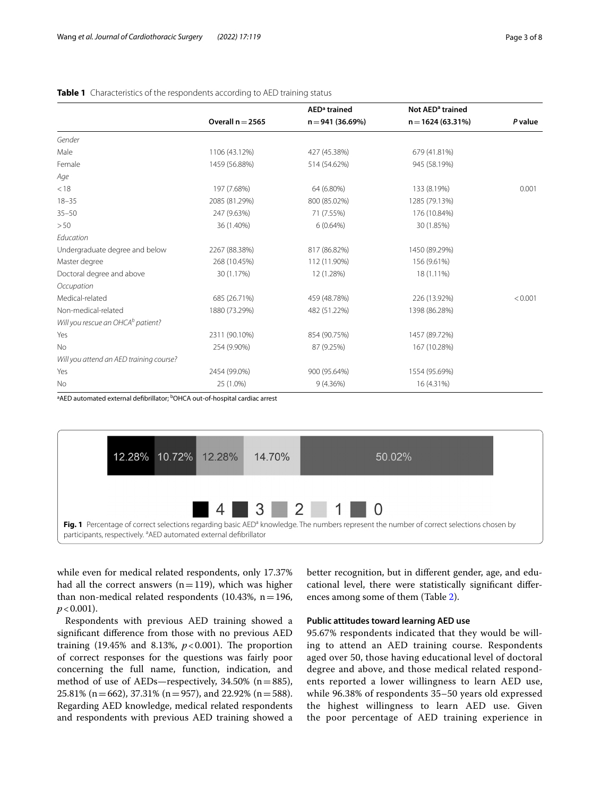|                                               |                    | AED <sup>a</sup> trained | Not AED <sup>a</sup> trained |         |
|-----------------------------------------------|--------------------|--------------------------|------------------------------|---------|
|                                               | Overall $n = 2565$ | $n = 941(36.69%)$        | $n = 1624(63.31%)$           | P value |
| Gender                                        |                    |                          |                              |         |
| Male                                          | 1106 (43.12%)      | 427 (45.38%)             | 679 (41.81%)                 |         |
| Female                                        | 1459 (56.88%)      | 514 (54.62%)             | 945 (58.19%)                 |         |
| Age                                           |                    |                          |                              |         |
| < 18                                          | 197 (7.68%)        | 64 (6.80%)               | 133 (8.19%)                  | 0.001   |
| $18 - 35$                                     | 2085 (81.29%)      | 800 (85.02%)             | 1285 (79.13%)                |         |
| $35 - 50$                                     | 247 (9.63%)        | 71 (7.55%)               | 176 (10.84%)                 |         |
| >50                                           | 36 (1.40%)         | 6(0.64%)                 | 30 (1.85%)                   |         |
| Education                                     |                    |                          |                              |         |
| Undergraduate degree and below                | 2267 (88.38%)      | 817 (86.82%)             | 1450 (89.29%)                |         |
| Master degree                                 | 268 (10.45%)       | 112 (11.90%)             | 156 (9.61%)                  |         |
| Doctoral degree and above                     | 30 (1.17%)         | 12 (1.28%)               | 18 (1.11%)                   |         |
| Occupation                                    |                    |                          |                              |         |
| Medical-related                               | 685 (26.71%)       | 459 (48.78%)             | 226 (13.92%)                 | < 0.001 |
| Non-medical-related                           | 1880 (73.29%)      | 482 (51.22%)             | 1398 (86.28%)                |         |
| Will you rescue an OHCA <sup>b</sup> patient? |                    |                          |                              |         |
| Yes                                           | 2311 (90.10%)      | 854 (90.75%)             | 1457 (89.72%)                |         |
| <b>No</b>                                     | 254 (9.90%)        | 87 (9.25%)               | 167 (10.28%)                 |         |
| Will you attend an AED training course?       |                    |                          |                              |         |
| Yes                                           | 2454 (99.0%)       | 900 (95.64%)             | 1554 (95.69%)                |         |
| No                                            | 25 (1.0%)          | 9(4.36%)                 | 16 (4.31%)                   |         |

#### <span id="page-2-0"></span>**Table 1** Characteristics of the respondents according to AED training status

<sup>a</sup>AED automated external defibrillator; <sup>b</sup>OHCA out-of-hospital cardiac arrest



<span id="page-2-1"></span>while even for medical related respondents, only 17.37% had all the correct answers  $(n=119)$ , which was higher than non-medical related respondents (10.43%,  $n = 196$ ,  $p < 0.001$ ).

Respondents with previous AED training showed a signifcant diference from those with no previous AED training  $(19.45\% \text{ and } 8.13\%, p<0.001)$ . The proportion of correct responses for the questions was fairly poor concerning the full name, function, indication, and method of use of AEDs—respectively, 34.50% (n=885), 25.81% (n = 662), 37.31% (n = 957), and 22.92% (n = 588). Regarding AED knowledge, medical related respondents and respondents with previous AED training showed a better recognition, but in diferent gender, age, and educational level, there were statistically signifcant diferences among some of them (Table [2\)](#page-3-0).

#### **Public attitudes toward learning AED use**

95.67% respondents indicated that they would be willing to attend an AED training course. Respondents aged over 50, those having educational level of doctoral degree and above, and those medical related respondents reported a lower willingness to learn AED use, while 96.38% of respondents 35–50 years old expressed the highest willingness to learn AED use. Given the poor percentage of AED training experience in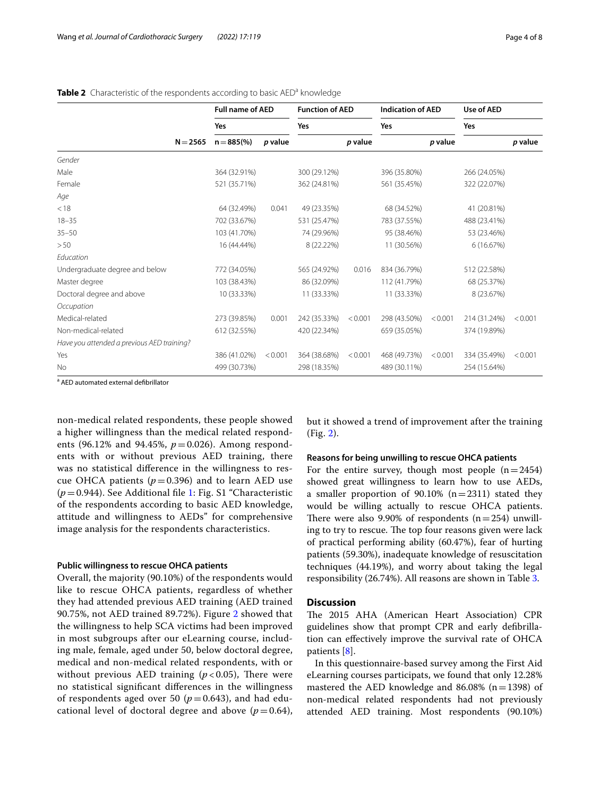|                                            |            | <b>Full name of AED</b> |         | <b>Function of AED</b> |         | <b>Indication of AED</b> |         | Use of AED   |         |
|--------------------------------------------|------------|-------------------------|---------|------------------------|---------|--------------------------|---------|--------------|---------|
|                                            |            | Yes                     |         | Yes                    |         | Yes                      |         | Yes          |         |
|                                            | $N = 2565$ | $n = 885\%$             | p value |                        | p value |                          | p value |              | p value |
| Gender                                     |            |                         |         |                        |         |                          |         |              |         |
| Male                                       |            | 364 (32.91%)            |         | 300 (29.12%)           |         | 396 (35.80%)             |         | 266 (24.05%) |         |
| Female                                     |            | 521 (35.71%)            |         | 362 (24.81%)           |         | 561 (35.45%)             |         | 322 (22.07%) |         |
| Age                                        |            |                         |         |                        |         |                          |         |              |         |
| < 18                                       |            | 64 (32.49%)             | 0.041   | 49 (23.35%)            |         | 68 (34.52%)              |         | 41 (20.81%)  |         |
| $18 - 35$                                  |            | 702 (33.67%)            |         | 531 (25.47%)           |         | 783 (37.55%)             |         | 488 (23.41%) |         |
| $35 - 50$                                  |            | 103 (41.70%)            |         | 74 (29.96%)            |         | 95 (38.46%)              |         | 53 (23.46%)  |         |
| > 50                                       |            | 16 (44.44%)             |         | 8 (22.22%)             |         | 11 (30.56%)              |         | 6(16.67%)    |         |
| Education                                  |            |                         |         |                        |         |                          |         |              |         |
| Undergraduate degree and below             |            | 772 (34.05%)            |         | 565 (24.92%)           | 0.016   | 834 (36.79%)             |         | 512 (22.58%) |         |
| Master degree                              |            | 103 (38.43%)            |         | 86 (32.09%)            |         | 112 (41.79%)             |         | 68 (25.37%)  |         |
| Doctoral degree and above                  |            | 10 (33.33%)             |         | 11 (33.33%)            |         | 11 (33.33%)              |         | 8 (23.67%)   |         |
| Occupation                                 |            |                         |         |                        |         |                          |         |              |         |
| Medical-related                            |            | 273 (39.85%)            | 0.001   | 242 (35.33%)           | < 0.001 | 298 (43.50%)             | < 0.001 | 214 (31.24%) | < 0.001 |
| Non-medical-related                        |            | 612 (32.55%)            |         | 420 (22.34%)           |         | 659 (35.05%)             |         | 374 (19.89%) |         |
| Have you attended a previous AED training? |            |                         |         |                        |         |                          |         |              |         |
| Yes                                        |            | 386 (41.02%)            | < 0.001 | 364 (38.68%)           | < 0.001 | 468 (49.73%)             | < 0.001 | 334 (35.49%) | < 0.001 |
| No                                         |            | 499 (30.73%)            |         | 298 (18.35%)           |         | 489 (30.11%)             |         | 254 (15.64%) |         |

#### <span id="page-3-0"></span>Table 2 Characteristic of the respondents according to basic AED<sup>a</sup> knowledge

<sup>a</sup> AED automated external defibrillator

non-medical related respondents, these people showed a higher willingness than the medical related respondents (96.12% and 94.45%, *p*=0.026). Among respondents with or without previous AED training, there was no statistical diference in the willingness to rescue OHCA patients  $(p=0.396)$  and to learn AED use (*p*=0.944). See Additional fle [1:](#page-6-2) Fig. S1 "Characteristic of the respondents according to basic AED knowledge, attitude and willingness to AEDs" for comprehensive image analysis for the respondents characteristics.

#### **Public willingness to rescue OHCA patients**

Overall, the majority (90.10%) of the respondents would like to rescue OHCA patients, regardless of whether they had attended previous AED training (AED trained 90.75%, not AED trained 89.72%). Figure [2](#page-4-0) showed that the willingness to help SCA victims had been improved in most subgroups after our eLearning course, including male, female, aged under 50, below doctoral degree, medical and non-medical related respondents, with or without previous AED training  $(p < 0.05)$ , There were no statistical signifcant diferences in the willingness of respondents aged over 50 ( $p=0.643$ ), and had educational level of doctoral degree and above  $(p=0.64)$ , but it showed a trend of improvement after the training (Fig. [2\)](#page-4-0).

### **Reasons for being unwilling to rescue OHCA patients**

For the entire survey, though most people  $(n=2454)$ showed great willingness to learn how to use AEDs, a smaller proportion of 90.10%  $(n=2311)$  stated they would be willing actually to rescue OHCA patients. There were also 9.90% of respondents  $(n=254)$  unwilling to try to rescue. The top four reasons given were lack of practical performing ability (60.47%), fear of hurting patients (59.30%), inadequate knowledge of resuscitation techniques (44.19%), and worry about taking the legal responsibility (26.74%). All reasons are shown in Table [3](#page-4-1).

#### **Discussion**

The 2015 AHA (American Heart Association) CPR guidelines show that prompt CPR and early defbrillation can efectively improve the survival rate of OHCA patients [[8\]](#page-7-5).

In this questionnaire-based survey among the First Aid eLearning courses participats, we found that only 12.28% mastered the AED knowledge and 86.08% ( $n=1398$ ) of non-medical related respondents had not previously attended AED training. Most respondents (90.10%)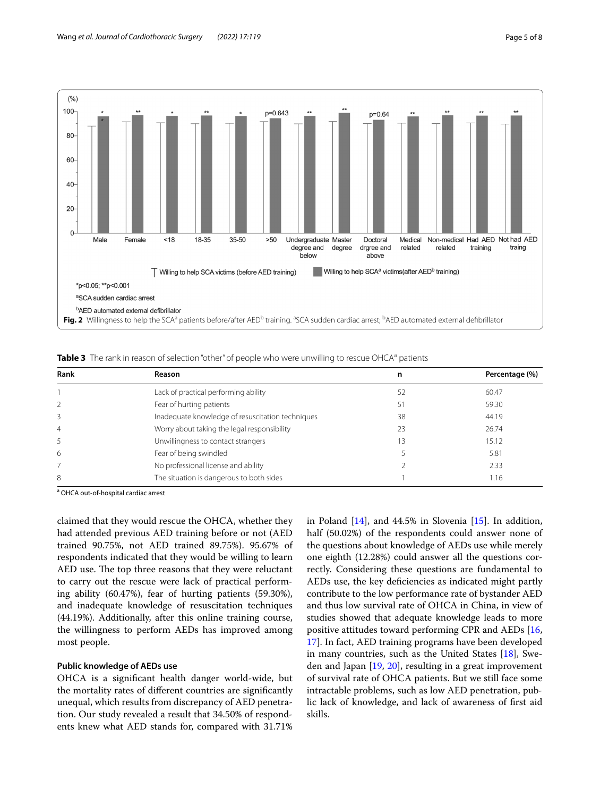

<span id="page-4-1"></span><span id="page-4-0"></span>Table 3 The rank in reason of selection "other" of people who were unwilling to rescue OHCA<sup>a</sup> patients

| Rank | <b>Reason</b>                                    | n  | Percentage (%) |
|------|--------------------------------------------------|----|----------------|
|      | Lack of practical performing ability             | 52 | 60.47          |
|      | Fear of hurting patients                         | 51 | 59.30          |
| 3    | Inadequate knowledge of resuscitation techniques | 38 | 44.19          |
| 4    | Worry about taking the legal responsibility      | 23 | 26.74          |
| 5    | Unwillingness to contact strangers               | 13 | 15.12          |
| 6    | Fear of being swindled                           |    | 5.81           |
|      | No professional license and ability              |    | 2.33           |
| 8    | The situation is dangerous to both sides         |    | 1.16           |

<sup>a</sup> OHCA out-of-hospital cardiac arrest

claimed that they would rescue the OHCA, whether they had attended previous AED training before or not (AED trained 90.75%, not AED trained 89.75%). 95.67% of respondents indicated that they would be willing to learn AED use. The top three reasons that they were reluctant to carry out the rescue were lack of practical performing ability (60.47%), fear of hurting patients (59.30%), and inadequate knowledge of resuscitation techniques (44.19%). Additionally, after this online training course, the willingness to perform AEDs has improved among most people.

#### **Public knowledge of AEDs use**

OHCA is a signifcant health danger world-wide, but the mortality rates of diferent countries are signifcantly unequal, which results from discrepancy of AED penetration. Our study revealed a result that 34.50% of respondents knew what AED stands for, compared with 31.71% in Poland [[14\]](#page-7-11), and 44.5% in Slovenia [[15](#page-7-12)]. In addition, half (50.02%) of the respondents could answer none of the questions about knowledge of AEDs use while merely one eighth (12.28%) could answer all the questions correctly. Considering these questions are fundamental to AEDs use, the key defciencies as indicated might partly contribute to the low performance rate of bystander AED and thus low survival rate of OHCA in China, in view of studies showed that adequate knowledge leads to more positive attitudes toward performing CPR and AEDs [[16](#page-7-13), [17\]](#page-7-14). In fact, AED training programs have been developed in many countries, such as the United States [[18\]](#page-7-15), Sweden and Japan [[19](#page-7-16), [20](#page-7-17)], resulting in a great improvement of survival rate of OHCA patients. But we still face some intractable problems, such as low AED penetration, public lack of knowledge, and lack of awareness of frst aid skills.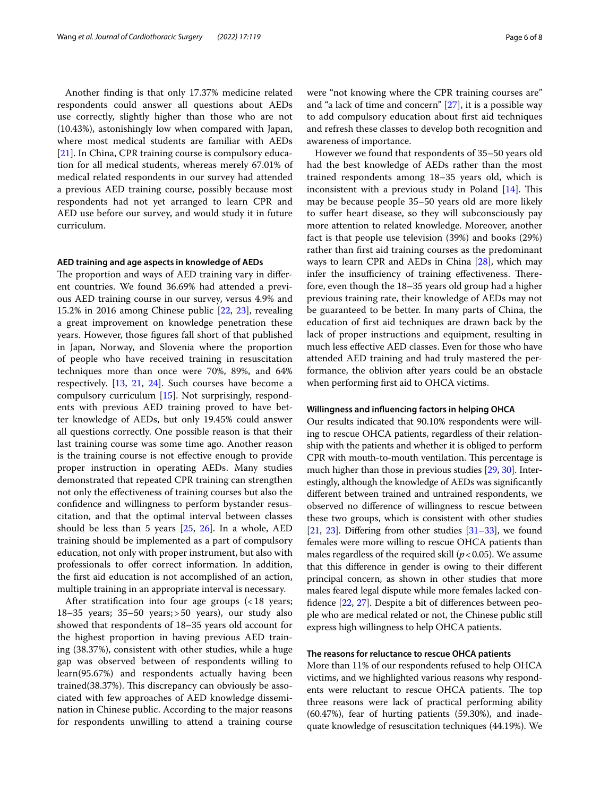Another fnding is that only 17.37% medicine related respondents could answer all questions about AEDs use correctly, slightly higher than those who are not (10.43%), astonishingly low when compared with Japan, where most medical students are familiar with AEDs [[21\]](#page-7-18). In China, CPR training course is compulsory education for all medical students, whereas merely 67.01% of medical related respondents in our survey had attended a previous AED training course, possibly because most respondents had not yet arranged to learn CPR and AED use before our survey, and would study it in future curriculum.

#### **AED training and age aspects in knowledge of AEDs**

The proportion and ways of AED training vary in different countries. We found 36.69% had attended a previous AED training course in our survey, versus 4.9% and 15.2% in 2016 among Chinese public [[22,](#page-7-19) [23](#page-7-20)], revealing a great improvement on knowledge penetration these years. However, those fgures fall short of that published in Japan, Norway, and Slovenia where the proportion of people who have received training in resuscitation techniques more than once were 70%, 89%, and 64% respectively. [\[13](#page-7-10), [21,](#page-7-18) [24](#page-7-21)]. Such courses have become a compulsory curriculum [[15](#page-7-12)]. Not surprisingly, respondents with previous AED training proved to have better knowledge of AEDs, but only 19.45% could answer all questions correctly. One possible reason is that their last training course was some time ago. Another reason is the training course is not efective enough to provide proper instruction in operating AEDs. Many studies demonstrated that repeated CPR training can strengthen not only the efectiveness of training courses but also the confdence and willingness to perform bystander resuscitation, and that the optimal interval between classes should be less than 5 years [[25,](#page-7-22) [26](#page-7-23)]. In a whole, AED training should be implemented as a part of compulsory education, not only with proper instrument, but also with professionals to ofer correct information. In addition, the frst aid education is not accomplished of an action, multiple training in an appropriate interval is necessary.

After stratification into four age groups (<18 years; 18–35 years; 35–50 years;>50 years), our study also showed that respondents of 18–35 years old account for the highest proportion in having previous AED training (38.37%), consistent with other studies, while a huge gap was observed between of respondents willing to learn(95.67%) and respondents actually having been trained(38.37%). This discrepancy can obviously be associated with few approaches of AED knowledge dissemination in Chinese public. According to the major reasons for respondents unwilling to attend a training course were "not knowing where the CPR training courses are" and "a lack of time and concern" [\[27](#page-7-24)], it is a possible way to add compulsory education about frst aid techniques and refresh these classes to develop both recognition and awareness of importance.

However we found that respondents of 35–50 years old had the best knowledge of AEDs rather than the most trained respondents among 18–35 years old, which is inconsistent with a previous study in Poland  $[14]$  $[14]$ . This may be because people 35–50 years old are more likely to sufer heart disease, so they will subconsciously pay more attention to related knowledge. Moreover, another fact is that people use television (39%) and books (29%) rather than frst aid training courses as the predominant ways to learn CPR and AEDs in China [[28](#page-7-25)], which may infer the insufficiency of training effectiveness. Therefore, even though the 18–35 years old group had a higher previous training rate, their knowledge of AEDs may not be guaranteed to be better. In many parts of China, the education of frst aid techniques are drawn back by the lack of proper instructions and equipment, resulting in much less efective AED classes. Even for those who have attended AED training and had truly mastered the performance, the oblivion after years could be an obstacle when performing frst aid to OHCA victims.

#### **Willingness and infuencing factors in helping OHCA**

Our results indicated that 90.10% respondents were willing to rescue OHCA patients, regardless of their relationship with the patients and whether it is obliged to perform CPR with mouth-to-mouth ventilation. This percentage is much higher than those in previous studies [\[29,](#page-7-26) [30\]](#page-7-27). Interestingly, although the knowledge of AEDs was signifcantly diferent between trained and untrained respondents, we observed no diference of willingness to rescue between these two groups, which is consistent with other studies [[21](#page-7-18), [23](#page-7-20)]. Differing from other studies  $[31-33]$  $[31-33]$  $[31-33]$ , we found females were more willing to rescue OHCA patients than males regardless of the required skill  $(p < 0.05)$ . We assume that this diference in gender is owing to their diferent principal concern, as shown in other studies that more males feared legal dispute while more females lacked confdence [[22](#page-7-19), [27\]](#page-7-24). Despite a bit of diferences between people who are medical related or not, the Chinese public still express high willingness to help OHCA patients.

#### **The reasons for reluctance to rescue OHCA patients**

More than 11% of our respondents refused to help OHCA victims, and we highlighted various reasons why respondents were reluctant to rescue OHCA patients. The top three reasons were lack of practical performing ability (60.47%), fear of hurting patients (59.30%), and inadequate knowledge of resuscitation techniques (44.19%). We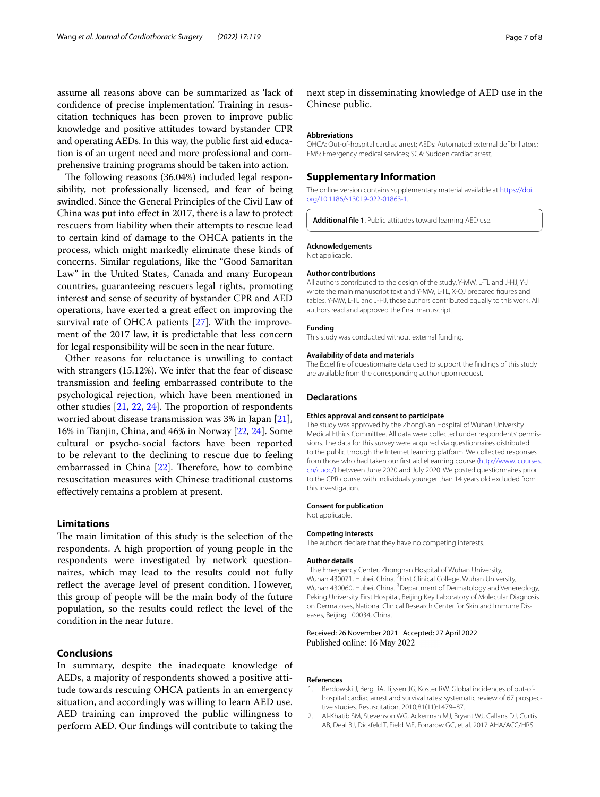assume all reasons above can be summarized as 'lack of confdence of precise implementation'. Training in resuscitation techniques has been proven to improve public knowledge and positive attitudes toward bystander CPR and operating AEDs. In this way, the public frst aid education is of an urgent need and more professional and comprehensive training programs should be taken into action.

The following reasons (36.04%) included legal responsibility, not professionally licensed, and fear of being swindled. Since the General Principles of the Civil Law of China was put into efect in 2017, there is a law to protect rescuers from liability when their attempts to rescue lead to certain kind of damage to the OHCA patients in the process, which might markedly eliminate these kinds of concerns. Similar regulations, like the "Good Samaritan Law" in the United States, Canada and many European countries, guaranteeing rescuers legal rights, promoting interest and sense of security of bystander CPR and AED operations, have exerted a great efect on improving the survival rate of OHCA patients [\[27\]](#page-7-24). With the improvement of the 2017 law, it is predictable that less concern for legal responsibility will be seen in the near future.

Other reasons for reluctance is unwilling to contact with strangers (15.12%). We infer that the fear of disease transmission and feeling embarrassed contribute to the psychological rejection, which have been mentioned in other studies  $[21, 22, 24]$  $[21, 22, 24]$  $[21, 22, 24]$  $[21, 22, 24]$  $[21, 22, 24]$  $[21, 22, 24]$  $[21, 22, 24]$ . The proportion of respondents worried about disease transmission was 3% in Japan [\[21](#page-7-18)], 16% in Tianjin, China, and 46% in Norway [\[22](#page-7-19), [24\]](#page-7-21). Some cultural or psycho-social factors have been reported to be relevant to the declining to rescue due to feeling embarrassed in China  $[22]$  $[22]$ . Therefore, how to combine resuscitation measures with Chinese traditional customs efectively remains a problem at present.

#### **Limitations**

The main limitation of this study is the selection of the respondents. A high proportion of young people in the respondents were investigated by network questionnaires, which may lead to the results could not fully refect the average level of present condition. However, this group of people will be the main body of the future population, so the results could refect the level of the condition in the near future.

#### **Conclusions**

In summary, despite the inadequate knowledge of AEDs, a majority of respondents showed a positive attitude towards rescuing OHCA patients in an emergency situation, and accordingly was willing to learn AED use. AED training can improved the public willingness to perform AED. Our fndings will contribute to taking the

next step in disseminating knowledge of AED use in the Chinese public.

#### **Abbreviations**

OHCA: Out-of-hospital cardiac arrest; AEDs: Automated external defbrillators; EMS: Emergency medical services; SCA: Sudden cardiac arrest.

#### **Supplementary Information**

The online version contains supplementary material available at [https://doi.](https://doi.org/10.1186/s13019-022-01863-1) [org/10.1186/s13019-022-01863-1](https://doi.org/10.1186/s13019-022-01863-1).

<span id="page-6-2"></span>**Additional fle 1**. Public attitudes toward learning AED use.

#### **Acknowledgements**

Not applicable.

#### **Author contributions**

All authors contributed to the design of the study. Y-MW, L-TL and J-HJ, Y-J wrote the main manuscript text and Y-MW, L-TL, X-QJ prepared fgures and tables. Y-MW, L-TL and J-HJ, these authors contributed equally to this work. All authors read and approved the fnal manuscript.

#### **Funding**

This study was conducted without external funding.

#### **Availability of data and materials**

The Excel fle of questionnaire data used to support the fndings of this study are available from the corresponding author upon request.

#### **Declarations**

#### **Ethics approval and consent to participate**

The study was approved by the ZhongNan Hospital of Wuhan University Medical Ethics Committee. All data were collected under respondents' permissions. The data for this survey were acquired via questionnaires distributed to the public through the Internet learning platform. We collected responses from those who had taken our frst aid eLearning course ([http://www.icourses.](http://www.icourses.cn/cuoc/) [cn/cuoc/](http://www.icourses.cn/cuoc/)) between June 2020 and July 2020. We posted questionnaires prior to the CPR course, with individuals younger than 14 years old excluded from this investigation.

#### **Consent for publication**

Not applicable.

#### **Competing interests**

The authors declare that they have no competing interests.

#### **Author details**

<sup>1</sup>The Emergency Center, Zhongnan Hospital of Wuhan University, Wuhan 430071, Hubei, China. <sup>2</sup> First Clinical College, Wuhan University, Wuhan 430060, Hubei, China. <sup>3</sup> Department of Dermatology and Venereology, Peking University First Hospital, Beijing Key Laboratory of Molecular Diagnosis on Dermatoses, National Clinical Research Center for Skin and Immune Diseases, Beijing 100034, China.

#### Received: 26 November 2021 Accepted: 27 April 2022 Published online: 16 May 2022

#### **References**

- <span id="page-6-0"></span>1. Berdowski J, Berg RA, Tijssen JG, Koster RW. Global incidences of out-ofhospital cardiac arrest and survival rates: systematic review of 67 prospective studies. Resuscitation. 2010;81(11):1479–87.
- <span id="page-6-1"></span>2. Al-Khatib SM, Stevenson WG, Ackerman MJ, Bryant WJ, Callans DJ, Curtis AB, Deal BJ, Dickfeld T, Field ME, Fonarow GC, et al. 2017 AHA/ACC/HRS